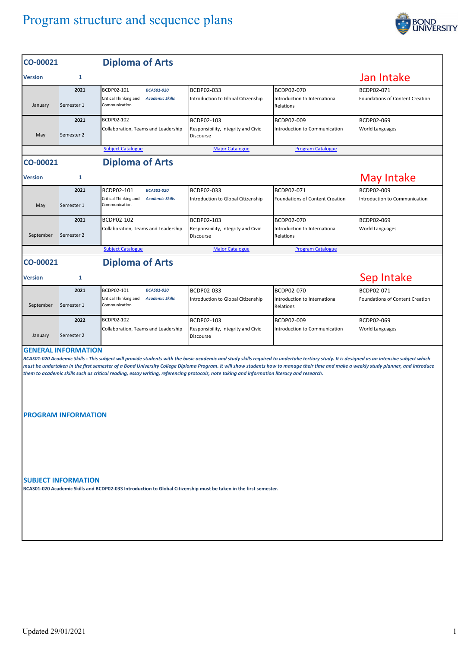## Program structure and sequence plans



| CO-00021       |                                                          | <b>Diploma of Arts</b>                                                                                                                                                                                                                                                                                                                                                                                                                                                                                                            |                                                                       |                                                          |                                                      |
|----------------|----------------------------------------------------------|-----------------------------------------------------------------------------------------------------------------------------------------------------------------------------------------------------------------------------------------------------------------------------------------------------------------------------------------------------------------------------------------------------------------------------------------------------------------------------------------------------------------------------------|-----------------------------------------------------------------------|----------------------------------------------------------|------------------------------------------------------|
| <b>Version</b> | $\mathbf{1}$                                             |                                                                                                                                                                                                                                                                                                                                                                                                                                                                                                                                   |                                                                       |                                                          | Jan Intake                                           |
| January        | 2021<br>Semester 1                                       | BCDP02-101<br><b>BCAS01-020</b><br>Critical Thinking and<br><b>Academic Skills</b><br>Communication                                                                                                                                                                                                                                                                                                                                                                                                                               | BCDP02-033<br>Introduction to Global Citizenship                      | BCDP02-070<br>Introduction to International<br>Relations | BCDP02-071<br>Foundations of Content Creation        |
| May            | 2021<br>Semester 2                                       | BCDP02-102<br>Collaboration, Teams and Leadership                                                                                                                                                                                                                                                                                                                                                                                                                                                                                 | BCDP02-103<br>Responsibility, Integrity and Civic<br><b>Discourse</b> | BCDP02-009<br>Introduction to Communication              | BCDP02-069<br><b>World Languages</b>                 |
|                |                                                          | <b>Subject Catalogue</b>                                                                                                                                                                                                                                                                                                                                                                                                                                                                                                          | <b>Major Catalogue</b>                                                | <b>Program Catalogue</b>                                 |                                                      |
| CO-00021       |                                                          | <b>Diploma of Arts</b>                                                                                                                                                                                                                                                                                                                                                                                                                                                                                                            |                                                                       |                                                          |                                                      |
| <b>Version</b> | 1                                                        |                                                                                                                                                                                                                                                                                                                                                                                                                                                                                                                                   |                                                                       |                                                          | <b>May Intake</b>                                    |
| May            | 2021<br>Semester 1                                       | BCDP02-101<br><b>BCAS01-020</b><br>Critical Thinking and<br><b>Academic Skills</b><br>Communication                                                                                                                                                                                                                                                                                                                                                                                                                               | BCDP02-033<br>Introduction to Global Citizenship                      | BCDP02-071<br><b>Foundations of Content Creation</b>     | BCDP02-009<br>Introduction to Communication          |
| September      | 2021<br>Semester 2                                       | BCDP02-102<br>Collaboration, Teams and Leadership                                                                                                                                                                                                                                                                                                                                                                                                                                                                                 | BCDP02-103<br>Responsibility, Integrity and Civic<br>Discourse        | BCDP02-070<br>Introduction to International<br>Relations | <b>BCDP02-069</b><br><b>World Languages</b>          |
|                |                                                          | <b>Subject Catalogue</b>                                                                                                                                                                                                                                                                                                                                                                                                                                                                                                          | <b>Major Catalogue</b>                                                | <b>Program Catalogue</b>                                 |                                                      |
| CO-00021       |                                                          | <b>Diploma of Arts</b>                                                                                                                                                                                                                                                                                                                                                                                                                                                                                                            |                                                                       |                                                          |                                                      |
| <b>Version</b> | 1                                                        |                                                                                                                                                                                                                                                                                                                                                                                                                                                                                                                                   |                                                                       |                                                          | Sep Intake                                           |
| September      | 2021<br>Semester 1                                       | BCDP02-101<br><b>BCAS01-020</b><br>Critical Thinking and<br><b>Academic Skills</b><br>Communication                                                                                                                                                                                                                                                                                                                                                                                                                               | BCDP02-033<br>Introduction to Global Citizenship                      | BCDP02-070<br>Introduction to International<br>Relations | BCDP02-071<br><b>Foundations of Content Creation</b> |
| January        | 2022<br>Semester 2                                       | BCDP02-102<br>Collaboration, Teams and Leadership                                                                                                                                                                                                                                                                                                                                                                                                                                                                                 | BCDP02-103<br>Responsibility, Integrity and Civic<br>Discourse        | BCDP02-009<br>Introduction to Communication              | BCDP02-069<br><b>World Languages</b>                 |
|                | <b>GENERAL INFORMATION</b><br><b>PROGRAM INFORMATION</b> | BCAS01-020 Academic Skills - This subject will provide students with the basic academic and study skills required to undertake tertiary study. It is designed as an intensive subject which<br>must be undertaken in the first semester of a Bond University College Diploma Program. It will show students how to manage their time and make a weekly study planner, and introduce<br>them to academic skills such as critical reading, essay writing, referencing protocols, note taking and information literacy and research. |                                                                       |                                                          |                                                      |
|                | <b>SUBJECT INFORMATION</b>                               | BCAS01-020 Academic Skills and BCDP02-033 Introduction to Global Citizenship must be taken in the first semester.                                                                                                                                                                                                                                                                                                                                                                                                                 |                                                                       |                                                          |                                                      |